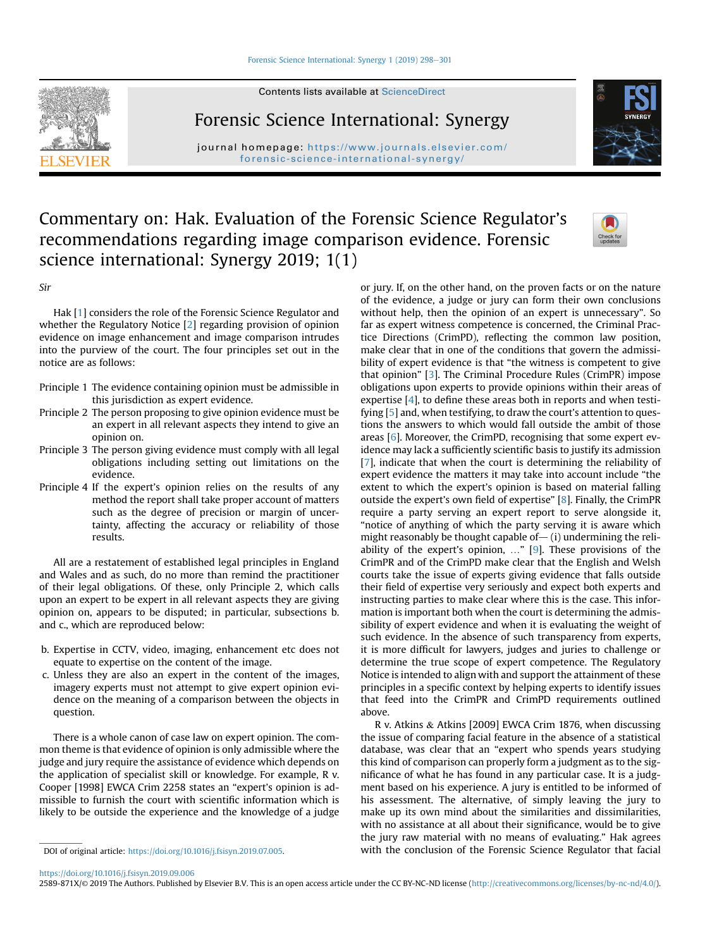## [Forensic Science International: Synergy 1 \(2019\) 298](https://doi.org/10.1016/j.fsisyn.2019.09.006)-[301](https://doi.org/10.1016/j.fsisyn.2019.09.006)

Contents lists available at ScienceDirect



Sir



Forensic Science International: Synergy

journal homepage: [https://www.journals.elsevier.com/](https://www.journals.elsevier.com/forensic-science-international-synergy/) for since since international  $\frac{1}{2}$ 

## Commentary on: Hak. Evaluation of the Forensic Science Regulator's recommendations regarding image comparison evidence. Forensic science international: Synergy 2019; 1(1)



Hak [[1\]](#page-2-0) considers the role of the Forensic Science Regulator and whether the Regulatory Notice [[2](#page-2-0)] regarding provision of opinion evidence on image enhancement and image comparison intrudes into the purview of the court. The four principles set out in the notice are as follows:

- Principle 1 The evidence containing opinion must be admissible in this jurisdiction as expert evidence.
- Principle 2 The person proposing to give opinion evidence must be an expert in all relevant aspects they intend to give an opinion on.
- Principle 3 The person giving evidence must comply with all legal obligations including setting out limitations on the evidence.
- Principle 4 If the expert's opinion relies on the results of any method the report shall take proper account of matters such as the degree of precision or margin of uncertainty, affecting the accuracy or reliability of those results.

All are a restatement of established legal principles in England and Wales and as such, do no more than remind the practitioner of their legal obligations. Of these, only Principle 2, which calls upon an expert to be expert in all relevant aspects they are giving opinion on, appears to be disputed; in particular, subsections b. and c., which are reproduced below:

- b. Expertise in CCTV, video, imaging, enhancement etc does not equate to expertise on the content of the image.
- c. Unless they are also an expert in the content of the images, imagery experts must not attempt to give expert opinion evidence on the meaning of a comparison between the objects in question.

There is a whole canon of case law on expert opinion. The common theme is that evidence of opinion is only admissible where the judge and jury require the assistance of evidence which depends on the application of specialist skill or knowledge. For example, R v. Cooper [1998] EWCA Crim 2258 states an "expert's opinion is admissible to furnish the court with scientific information which is likely to be outside the experience and the knowledge of a judge or jury. If, on the other hand, on the proven facts or on the nature of the evidence, a judge or jury can form their own conclusions without help, then the opinion of an expert is unnecessary". So far as expert witness competence is concerned, the Criminal Practice Directions (CrimPD), reflecting the common law position, make clear that in one of the conditions that govern the admissibility of expert evidence is that "the witness is competent to give that opinion" [[3](#page-2-0)]. The Criminal Procedure Rules (CrimPR) impose obligations upon experts to provide opinions within their areas of expertise [[4](#page-2-0)], to define these areas both in reports and when testifying [[5](#page-2-0)] and, when testifying, to draw the court's attention to questions the answers to which would fall outside the ambit of those areas [[6\]](#page-2-0). Moreover, the CrimPD, recognising that some expert evidence may lack a sufficiently scientific basis to justify its admission [[7](#page-2-0)], indicate that when the court is determining the reliability of expert evidence the matters it may take into account include "the extent to which the expert's opinion is based on material falling outside the expert's own field of expertise" [[8](#page-2-0)]. Finally, the CrimPR require a party serving an expert report to serve alongside it, "notice of anything of which the party serving it is aware which might reasonably be thought capable of  $\equiv$  (i) undermining the reliability of the expert's opinion, …" [[9\]](#page-2-0). These provisions of the CrimPR and of the CrimPD make clear that the English and Welsh courts take the issue of experts giving evidence that falls outside their field of expertise very seriously and expect both experts and instructing parties to make clear where this is the case. This information is important both when the court is determining the admissibility of expert evidence and when it is evaluating the weight of such evidence. In the absence of such transparency from experts, it is more difficult for lawyers, judges and juries to challenge or determine the true scope of expert competence. The Regulatory Notice is intended to align with and support the attainment of these principles in a specific context by helping experts to identify issues that feed into the CrimPR and CrimPD requirements outlined above.

R v. Atkins & Atkins [2009] EWCA Crim 1876, when discussing the issue of comparing facial feature in the absence of a statistical database, was clear that an "expert who spends years studying this kind of comparison can properly form a judgment as to the significance of what he has found in any particular case. It is a judgment based on his experience. A jury is entitled to be informed of his assessment. The alternative, of simply leaving the jury to make up its own mind about the similarities and dissimilarities, with no assistance at all about their significance, would be to give the jury raw material with no means of evaluating." Hak agrees DOI of original article: <https://doi.org/10.1016/j.fsisyn.2019.07.005>. with the conclusion of the Forensic Science Regulator that facial

<sup>2589-871</sup>X/© 2019 The Authors. Published by Elsevier B.V. This is an open access article under the CC BY-NC-ND license ([http://creativecommons.org/licenses/by-nc-nd/4.0/\)](http://creativecommons.org/licenses/by-nc-nd/4.0/).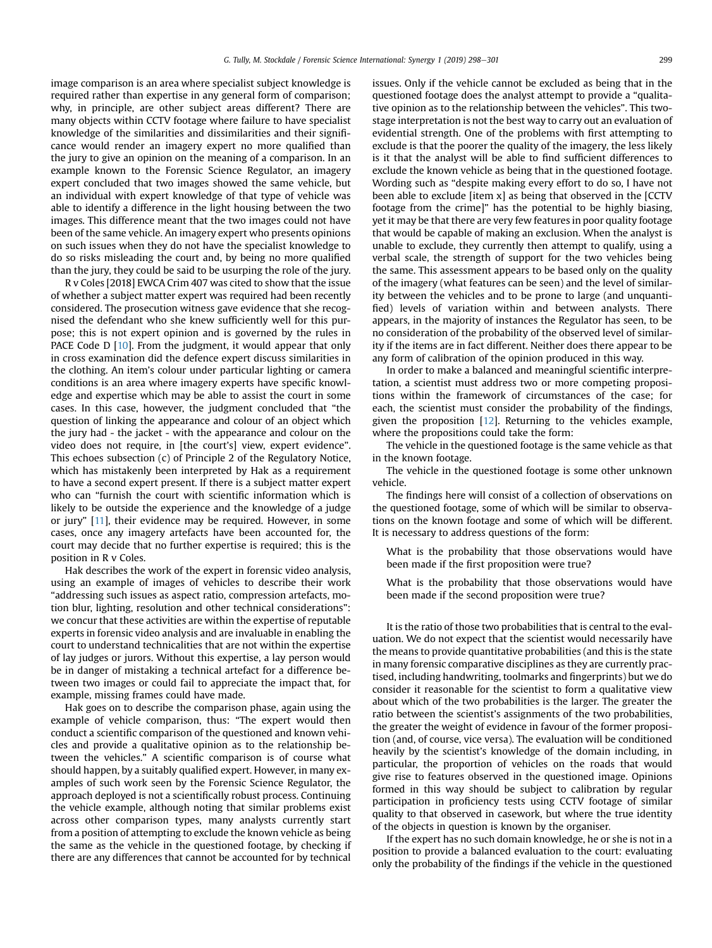image comparison is an area where specialist subject knowledge is required rather than expertise in any general form of comparison; why, in principle, are other subject areas different? There are many objects within CCTV footage where failure to have specialist knowledge of the similarities and dissimilarities and their significance would render an imagery expert no more qualified than the jury to give an opinion on the meaning of a comparison. In an example known to the Forensic Science Regulator, an imagery expert concluded that two images showed the same vehicle, but an individual with expert knowledge of that type of vehicle was able to identify a difference in the light housing between the two images. This difference meant that the two images could not have been of the same vehicle. An imagery expert who presents opinions on such issues when they do not have the specialist knowledge to do so risks misleading the court and, by being no more qualified than the jury, they could be said to be usurping the role of the jury.

R v Coles [2018] EWCA Crim 407 was cited to show that the issue of whether a subject matter expert was required had been recently considered. The prosecution witness gave evidence that she recognised the defendant who she knew sufficiently well for this purpose; this is not expert opinion and is governed by the rules in PACE Code D [\[10](#page-2-0)]. From the judgment, it would appear that only in cross examination did the defence expert discuss similarities in the clothing. An item's colour under particular lighting or camera conditions is an area where imagery experts have specific knowledge and expertise which may be able to assist the court in some cases. In this case, however, the judgment concluded that "the question of linking the appearance and colour of an object which the jury had - the jacket - with the appearance and colour on the video does not require, in [the court's] view, expert evidence". This echoes subsection (c) of Principle 2 of the Regulatory Notice, which has mistakenly been interpreted by Hak as a requirement to have a second expert present. If there is a subject matter expert who can "furnish the court with scientific information which is likely to be outside the experience and the knowledge of a judge or jury" [\[11\]](#page-2-0), their evidence may be required. However, in some cases, once any imagery artefacts have been accounted for, the court may decide that no further expertise is required; this is the position in R v Coles.

Hak describes the work of the expert in forensic video analysis, using an example of images of vehicles to describe their work "addressing such issues as aspect ratio, compression artefacts, motion blur, lighting, resolution and other technical considerations": we concur that these activities are within the expertise of reputable experts in forensic video analysis and are invaluable in enabling the court to understand technicalities that are not within the expertise of lay judges or jurors. Without this expertise, a lay person would be in danger of mistaking a technical artefact for a difference between two images or could fail to appreciate the impact that, for example, missing frames could have made.

Hak goes on to describe the comparison phase, again using the example of vehicle comparison, thus: "The expert would then conduct a scientific comparison of the questioned and known vehicles and provide a qualitative opinion as to the relationship between the vehicles." A scientific comparison is of course what should happen, by a suitably qualified expert. However, in many examples of such work seen by the Forensic Science Regulator, the approach deployed is not a scientifically robust process. Continuing the vehicle example, although noting that similar problems exist across other comparison types, many analysts currently start from a position of attempting to exclude the known vehicle as being the same as the vehicle in the questioned footage, by checking if there are any differences that cannot be accounted for by technical issues. Only if the vehicle cannot be excluded as being that in the questioned footage does the analyst attempt to provide a "qualitative opinion as to the relationship between the vehicles". This twostage interpretation is not the best way to carry out an evaluation of evidential strength. One of the problems with first attempting to exclude is that the poorer the quality of the imagery, the less likely is it that the analyst will be able to find sufficient differences to exclude the known vehicle as being that in the questioned footage. Wording such as "despite making every effort to do so, I have not been able to exclude [item x] as being that observed in the [CCTV footage from the crime]" has the potential to be highly biasing, yet it may be that there are very few features in poor quality footage that would be capable of making an exclusion. When the analyst is unable to exclude, they currently then attempt to qualify, using a verbal scale, the strength of support for the two vehicles being the same. This assessment appears to be based only on the quality of the imagery (what features can be seen) and the level of similarity between the vehicles and to be prone to large (and unquantified) levels of variation within and between analysts. There appears, in the majority of instances the Regulator has seen, to be no consideration of the probability of the observed level of similarity if the items are in fact different. Neither does there appear to be any form of calibration of the opinion produced in this way.

In order to make a balanced and meaningful scientific interpretation, a scientist must address two or more competing propositions within the framework of circumstances of the case; for each, the scientist must consider the probability of the findings, given the proposition  $[12]$ . Returning to the vehicles example, where the propositions could take the form:

The vehicle in the questioned footage is the same vehicle as that in the known footage.

The vehicle in the questioned footage is some other unknown vehicle.

The findings here will consist of a collection of observations on the questioned footage, some of which will be similar to observations on the known footage and some of which will be different. It is necessary to address questions of the form:

What is the probability that those observations would have been made if the first proposition were true?

What is the probability that those observations would have been made if the second proposition were true?

It is the ratio of those two probabilities that is central to the evaluation. We do not expect that the scientist would necessarily have the means to provide quantitative probabilities (and this is the state in many forensic comparative disciplines as they are currently practised, including handwriting, toolmarks and fingerprints) but we do consider it reasonable for the scientist to form a qualitative view about which of the two probabilities is the larger. The greater the ratio between the scientist's assignments of the two probabilities, the greater the weight of evidence in favour of the former proposition (and, of course, vice versa). The evaluation will be conditioned heavily by the scientist's knowledge of the domain including, in particular, the proportion of vehicles on the roads that would give rise to features observed in the questioned image. Opinions formed in this way should be subject to calibration by regular participation in proficiency tests using CCTV footage of similar quality to that observed in casework, but where the true identity of the objects in question is known by the organiser.

If the expert has no such domain knowledge, he or she is not in a position to provide a balanced evaluation to the court: evaluating only the probability of the findings if the vehicle in the questioned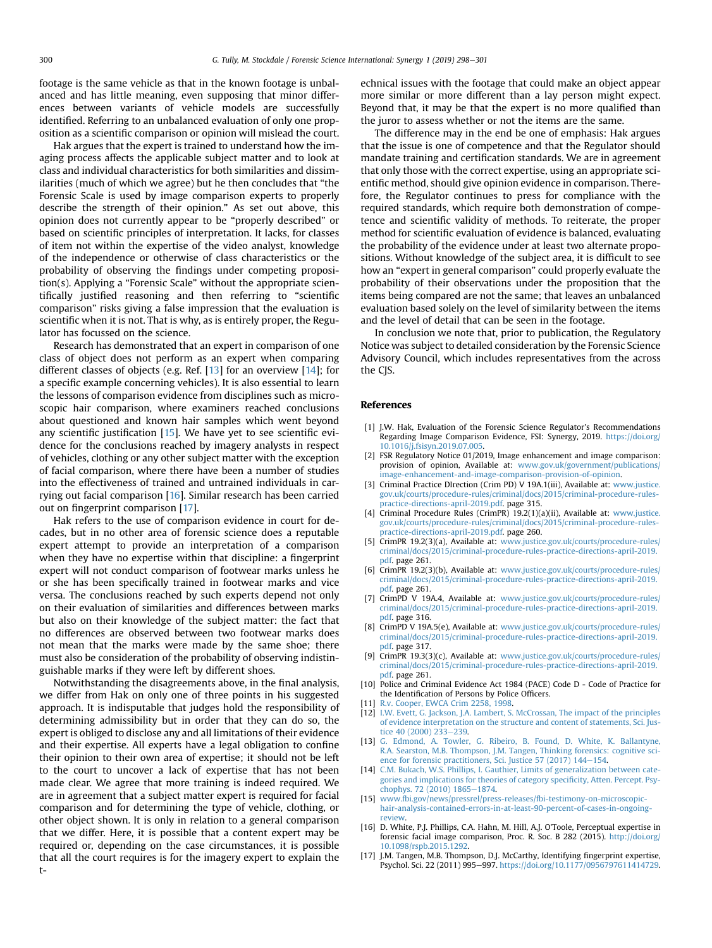<span id="page-2-0"></span>footage is the same vehicle as that in the known footage is unbalanced and has little meaning, even supposing that minor differences between variants of vehicle models are successfully identified. Referring to an unbalanced evaluation of only one proposition as a scientific comparison or opinion will mislead the court.

Hak argues that the expert is trained to understand how the imaging process affects the applicable subject matter and to look at class and individual characteristics for both similarities and dissimilarities (much of which we agree) but he then concludes that "the Forensic Scale is used by image comparison experts to properly describe the strength of their opinion." As set out above, this opinion does not currently appear to be "properly described" or based on scientific principles of interpretation. It lacks, for classes of item not within the expertise of the video analyst, knowledge of the independence or otherwise of class characteristics or the probability of observing the findings under competing proposition(s). Applying a "Forensic Scale" without the appropriate scientifically justified reasoning and then referring to "scientific comparison" risks giving a false impression that the evaluation is scientific when it is not. That is why, as is entirely proper, the Regulator has focussed on the science.

Research has demonstrated that an expert in comparison of one class of object does not perform as an expert when comparing different classes of objects (e.g. Ref. [13] for an overview [14]; for a specific example concerning vehicles). It is also essential to learn the lessons of comparison evidence from disciplines such as microscopic hair comparison, where examiners reached conclusions about questioned and known hair samples which went beyond any scientific justification [15]. We have yet to see scientific evidence for the conclusions reached by imagery analysts in respect of vehicles, clothing or any other subject matter with the exception of facial comparison, where there have been a number of studies into the effectiveness of trained and untrained individuals in carrying out facial comparison [16]. Similar research has been carried out on fingerprint comparison [17].

Hak refers to the use of comparison evidence in court for decades, but in no other area of forensic science does a reputable expert attempt to provide an interpretation of a comparison when they have no expertise within that discipline: a fingerprint expert will not conduct comparison of footwear marks unless he or she has been specifically trained in footwear marks and vice versa. The conclusions reached by such experts depend not only on their evaluation of similarities and differences between marks but also on their knowledge of the subject matter: the fact that no differences are observed between two footwear marks does not mean that the marks were made by the same shoe; there must also be consideration of the probability of observing indistinguishable marks if they were left by different shoes.

Notwithstanding the disagreements above, in the final analysis, we differ from Hak on only one of three points in his suggested approach. It is indisputable that judges hold the responsibility of determining admissibility but in order that they can do so, the expert is obliged to disclose any and all limitations of their evidence and their expertise. All experts have a legal obligation to confine their opinion to their own area of expertise; it should not be left to the court to uncover a lack of expertise that has not been made clear. We agree that more training is indeed required. We are in agreement that a subject matter expert is required for facial comparison and for determining the type of vehicle, clothing, or other object shown. It is only in relation to a general comparison that we differ. Here, it is possible that a content expert may be required or, depending on the case circumstances, it is possible that all the court requires is for the imagery expert to explain the technical issues with the footage that could make an object appear more similar or more different than a lay person might expect. Beyond that, it may be that the expert is no more qualified than the juror to assess whether or not the items are the same.

The difference may in the end be one of emphasis: Hak argues that the issue is one of competence and that the Regulator should mandate training and certification standards. We are in agreement that only those with the correct expertise, using an appropriate scientific method, should give opinion evidence in comparison. Therefore, the Regulator continues to press for compliance with the required standards, which require both demonstration of competence and scientific validity of methods. To reiterate, the proper method for scientific evaluation of evidence is balanced, evaluating the probability of the evidence under at least two alternate propositions. Without knowledge of the subject area, it is difficult to see how an "expert in general comparison" could properly evaluate the probability of their observations under the proposition that the items being compared are not the same; that leaves an unbalanced evaluation based solely on the level of similarity between the items and the level of detail that can be seen in the footage.

In conclusion we note that, prior to publication, the Regulatory Notice was subject to detailed consideration by the Forensic Science Advisory Council, which includes representatives from the across the CJS.

## References

- [1] J.W. Hak, Evaluation of the Forensic Science Regulator's Recommendations Regarding Image Comparison Evidence, FSI: Synergy, 2019. [https://doi.org/](https://doi.org/10.1016/j.fsisyn.2019.07.005) [10.1016/j.fsisyn.2019.07.005.](https://doi.org/10.1016/j.fsisyn.2019.07.005)
- [2] FSR Regulatory Notice 01/2019, Image enhancement and image comparison: provision of opinion, Available at: [www.gov.uk/government/publications/](http://www.gov.uk/government/publications/image-enhancement-and-image-comparison-provision-of-opinion) [image-enhancement-and-image-comparison-provision-of-opinion](http://www.gov.uk/government/publications/image-enhancement-and-image-comparison-provision-of-opinion).
- [3] Criminal Practice DIrection (Crim PD) V 19A.1(iii), Available at: [www.justice.](http://www.justice.gov.uk/courts/procedure-rules/criminal/docs/2015/criminal-procedure-rules-practice-directions-april-2019.pdf) [gov.uk/courts/procedure-rules/criminal/docs/2015/criminal-procedure-rules](http://www.justice.gov.uk/courts/procedure-rules/criminal/docs/2015/criminal-procedure-rules-practice-directions-april-2019.pdf)[practice-directions-april-2019.pdf](http://www.justice.gov.uk/courts/procedure-rules/criminal/docs/2015/criminal-procedure-rules-practice-directions-april-2019.pdf). page 315.
- [4] Criminal Procedure Rules (CrimPR) 19.2(1)(a)(ii), Available at: [www.justice.](http://www.justice.gov.uk/courts/procedure-rules/criminal/docs/2015/criminal-procedure-rules-practice-directions-april-2019.pdf) [gov.uk/courts/procedure-rules/criminal/docs/2015/criminal-procedure-rules](http://www.justice.gov.uk/courts/procedure-rules/criminal/docs/2015/criminal-procedure-rules-practice-directions-april-2019.pdf)[practice-directions-april-2019.pdf](http://www.justice.gov.uk/courts/procedure-rules/criminal/docs/2015/criminal-procedure-rules-practice-directions-april-2019.pdf). page 260.
- [5] CrimPR 19.2(3)(a), Available at: [www.justice.gov.uk/courts/procedure-rules/](http://www.justice.gov.uk/courts/procedure-rules/criminal/docs/2015/criminal-procedure-rules-practice-directions-april-2019.pdf) [criminal/docs/2015/criminal-procedure-rules-practice-directions-april-2019.](http://www.justice.gov.uk/courts/procedure-rules/criminal/docs/2015/criminal-procedure-rules-practice-directions-april-2019.pdf) [pdf.](http://www.justice.gov.uk/courts/procedure-rules/criminal/docs/2015/criminal-procedure-rules-practice-directions-april-2019.pdf) page 261.
- [6] CrimPR 19.2(3)(b), Available at: [www.justice.gov.uk/courts/procedure-rules/](http://www.justice.gov.uk/courts/procedure-rules/criminal/docs/2015/criminal-procedure-rules-practice-directions-april-2019.pdf) [criminal/docs/2015/criminal-procedure-rules-practice-directions-april-2019.](http://www.justice.gov.uk/courts/procedure-rules/criminal/docs/2015/criminal-procedure-rules-practice-directions-april-2019.pdf) [pdf.](http://www.justice.gov.uk/courts/procedure-rules/criminal/docs/2015/criminal-procedure-rules-practice-directions-april-2019.pdf) page 261.
- [7] CrimPD V 19A.4, Available at: [www.justice.gov.uk/courts/procedure-rules/](http://www.justice.gov.uk/courts/procedure-rules/criminal/docs/2015/criminal-procedure-rules-practice-directions-april-2019.pdf) [criminal/docs/2015/criminal-procedure-rules-practice-directions-april-2019.](http://www.justice.gov.uk/courts/procedure-rules/criminal/docs/2015/criminal-procedure-rules-practice-directions-april-2019.pdf) [pdf.](http://www.justice.gov.uk/courts/procedure-rules/criminal/docs/2015/criminal-procedure-rules-practice-directions-april-2019.pdf) page 316.
- [8] CrimPD V 19A.5(e), Available at: [www.justice.gov.uk/courts/procedure-rules/](http://www.justice.gov.uk/courts/procedure-rules/criminal/docs/2015/criminal-procedure-rules-practice-directions-april-2019.pdf) [criminal/docs/2015/criminal-procedure-rules-practice-directions-april-2019.](http://www.justice.gov.uk/courts/procedure-rules/criminal/docs/2015/criminal-procedure-rules-practice-directions-april-2019.pdf) [pdf.](http://www.justice.gov.uk/courts/procedure-rules/criminal/docs/2015/criminal-procedure-rules-practice-directions-april-2019.pdf) page 317.
- [9] CrimPR 19.3(3)(c), Available at: [www.justice.gov.uk/courts/procedure-rules/](http://www.justice.gov.uk/courts/procedure-rules/criminal/docs/2015/criminal-procedure-rules-practice-directions-april-2019.pdf) [criminal/docs/2015/criminal-procedure-rules-practice-directions-april-2019.](http://www.justice.gov.uk/courts/procedure-rules/criminal/docs/2015/criminal-procedure-rules-practice-directions-april-2019.pdf) [pdf.](http://www.justice.gov.uk/courts/procedure-rules/criminal/docs/2015/criminal-procedure-rules-practice-directions-april-2019.pdf) page 261.
- [10] Police and Criminal Evidence Act 1984 (PACE) Code D Code of Practice for the Identification of Persons by Police Officers.
- [11] [R.v. Cooper, EWCA Crim 2258, 1998](http://refhub.elsevier.com/S2589-871X(19)30151-2/sref11).
- [12] [I.W. Evett, G. Jackson, J.A. Lambert, S. McCrossan, The impact of the principles](http://refhub.elsevier.com/S2589-871X(19)30151-2/sref12) [of evidence interpretation on the structure and content of statements, Sci. Jus](http://refhub.elsevier.com/S2589-871X(19)30151-2/sref12)[tice 40 \(2000\) 233](http://refhub.elsevier.com/S2589-871X(19)30151-2/sref12)-[239.](http://refhub.elsevier.com/S2589-871X(19)30151-2/sref12)
- [13] [G. Edmond, A. Towler, G. Ribeiro, B. Found, D. White, K. Ballantyne,](http://refhub.elsevier.com/S2589-871X(19)30151-2/sref13) [R.A. Searston, M.B. Thompson, J.M. Tangen, Thinking forensics: cognitive sci](http://refhub.elsevier.com/S2589-871X(19)30151-2/sref13)[ence for forensic practitioners, Sci. Justice 57 \(2017\) 144](http://refhub.elsevier.com/S2589-871X(19)30151-2/sref13)-[154.](http://refhub.elsevier.com/S2589-871X(19)30151-2/sref13)
- [14] [C.M. Bukach, W.S. Phillips, I. Gauthier, Limits of generalization between cate](http://refhub.elsevier.com/S2589-871X(19)30151-2/sref14)[gories and implications for theories of category speci](http://refhub.elsevier.com/S2589-871X(19)30151-2/sref14)ficity, Atten. Percept. Psy[chophys. 72 \(2010\) 1865](http://refhub.elsevier.com/S2589-871X(19)30151-2/sref14)-[1874](http://refhub.elsevier.com/S2589-871X(19)30151-2/sref14).
- [15] [www.fbi.gov/news/pressrel/press-releases/fbi-testimony-on-microscopic](http://www.fbi.gov/news/pressrel/press-releases/fbi-testimony-on-microscopic-hair-analysis-contained-errors-in-at-least-90-percent-of-cases-in-ongoing-review)[hair-analysis-contained-errors-in-at-least-90-percent-of-cases-in-ongoing](http://www.fbi.gov/news/pressrel/press-releases/fbi-testimony-on-microscopic-hair-analysis-contained-errors-in-at-least-90-percent-of-cases-in-ongoing-review)review
- [16] D. White, P.J. Phillips, C.A. Hahn, M. Hill, A.J. O'Toole, Perceptual expertise in forensic facial image comparison, Proc. R. Soc. B 282 (2015). [http://doi.org/](http://doi.org/10.1098/rspb.2015.1292) [10.1098/rspb.2015.1292](http://doi.org/10.1098/rspb.2015.1292).
- [17] J.M. Tangen, M.B. Thompson, D.J. McCarthy, Identifying fingerprint expertise, Psychol. Sci. 22 (2011) 995-997. <https://doi.org/10.1177/0956797611414729>.